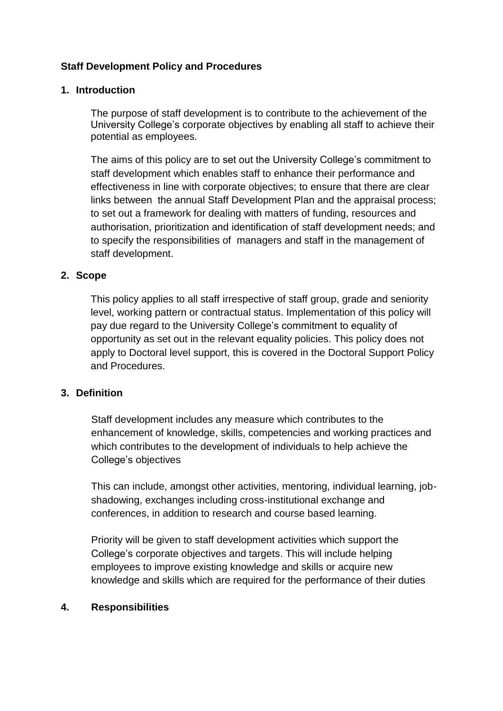## **Staff Development Policy and Procedures**

#### **1. Introduction**

The purpose of staff development is to contribute to the achievement of the University College's corporate objectives by enabling all staff to achieve their potential as employees.

The aims of this policy are to set out the University College's commitment to staff development which enables staff to enhance their performance and effectiveness in line with corporate objectives; to ensure that there are clear links between the annual Staff Development Plan and the appraisal process; to set out a framework for dealing with matters of funding, resources and authorisation, prioritization and identification of staff development needs; and to specify the responsibilities of managers and staff in the management of staff development.

#### **2. Scope**

This policy applies to all staff irrespective of staff group, grade and seniority level, working pattern or contractual status. Implementation of this policy will pay due regard to the University College's commitment to equality of opportunity as set out in the relevant equality policies. This policy does not apply to Doctoral level support, this is covered in the Doctoral Support Policy and Procedures.

### **3. Definition**

Staff development includes any measure which contributes to the enhancement of knowledge, skills, competencies and working practices and which contributes to the development of individuals to help achieve the College's objectives

This can include, amongst other activities, mentoring, individual learning, jobshadowing, exchanges including cross-institutional exchange and conferences, in addition to research and course based learning.

Priority will be given to staff development activities which support the College's corporate objectives and targets. This will include helping employees to improve existing knowledge and skills or acquire new knowledge and skills which are required for the performance of their duties

### **4. Responsibilities**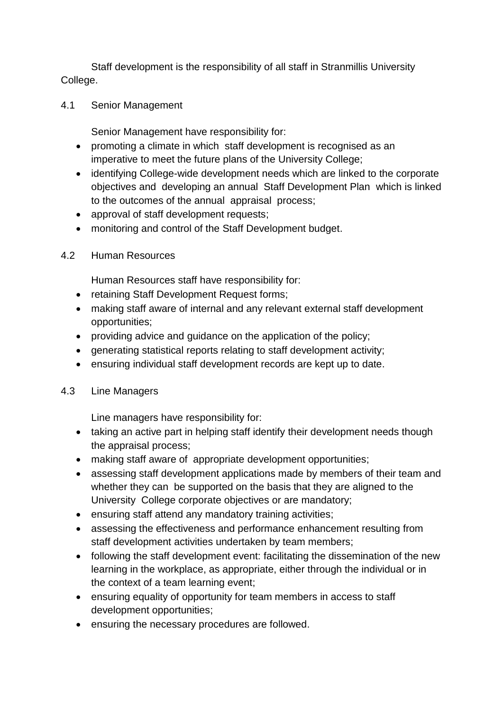Staff development is the responsibility of all staff in Stranmillis University College.

4.1 Senior Management

Senior Management have responsibility for:

- promoting a climate in which staff development is recognised as an imperative to meet the future plans of the University College;
- identifying College-wide development needs which are linked to the corporate objectives and developing an annual Staff Development Plan which is linked to the outcomes of the annual appraisal process;
- approval of staff development requests;
- monitoring and control of the Staff Development budget.
- 4.2 Human Resources

Human Resources staff have responsibility for:

- retaining Staff Development Request forms;
- making staff aware of internal and any relevant external staff development opportunities;
- providing advice and guidance on the application of the policy;
- generating statistical reports relating to staff development activity;
- ensuring individual staff development records are kept up to date.
- 4.3 Line Managers

Line managers have responsibility for:

- taking an active part in helping staff identify their development needs though the appraisal process;
- making staff aware of appropriate development opportunities;
- assessing staff development applications made by members of their team and whether they can be supported on the basis that they are aligned to the University College corporate objectives or are mandatory;
- ensuring staff attend any mandatory training activities;
- assessing the effectiveness and performance enhancement resulting from staff development activities undertaken by team members;
- following the staff development event: facilitating the dissemination of the new learning in the workplace, as appropriate, either through the individual or in the context of a team learning event;
- ensuring equality of opportunity for team members in access to staff development opportunities;
- ensuring the necessary procedures are followed.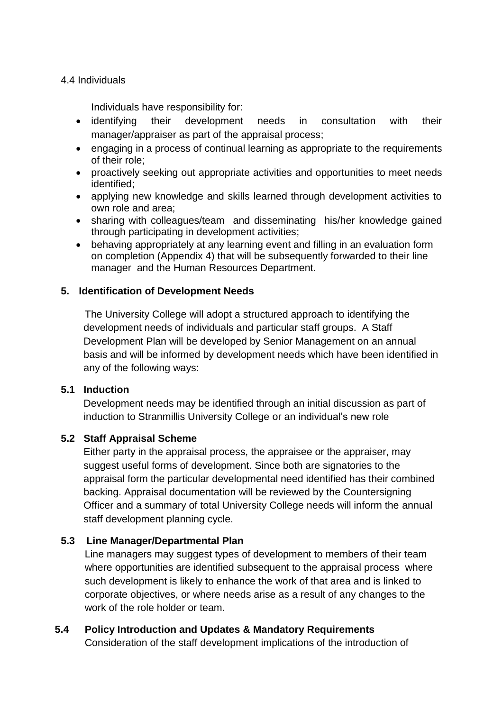#### 4.4 Individuals

Individuals have responsibility for:

- identifying their development needs in consultation with their manager/appraiser as part of the appraisal process;
- engaging in a process of continual learning as appropriate to the requirements of their role;
- proactively seeking out appropriate activities and opportunities to meet needs identified;
- applying new knowledge and skills learned through development activities to own role and area;
- sharing with colleagues/team and disseminating his/her knowledge gained through participating in development activities;
- behaving appropriately at any learning event and filling in an evaluation form on completion (Appendix 4) that will be subsequently forwarded to their line manager and the Human Resources Department.

### **5. Identification of Development Needs**

The University College will adopt a structured approach to identifying the development needs of individuals and particular staff groups. A Staff Development Plan will be developed by Senior Management on an annual basis and will be informed by development needs which have been identified in any of the following ways:

### **5.1 Induction**

Development needs may be identified through an initial discussion as part of induction to Stranmillis University College or an individual's new role

### **5.2 Staff Appraisal Scheme**

Either party in the appraisal process, the appraisee or the appraiser, may suggest useful forms of development. Since both are signatories to the appraisal form the particular developmental need identified has their combined backing. Appraisal documentation will be reviewed by the Countersigning Officer and a summary of total University College needs will inform the annual staff development planning cycle.

# **5.3 Line Manager/Departmental Plan**

Line managers may suggest types of development to members of their team where opportunities are identified subsequent to the appraisal process where such development is likely to enhance the work of that area and is linked to corporate objectives, or where needs arise as a result of any changes to the work of the role holder or team.

# **5.4 Policy Introduction and Updates & Mandatory Requirements**

Consideration of the staff development implications of the introduction of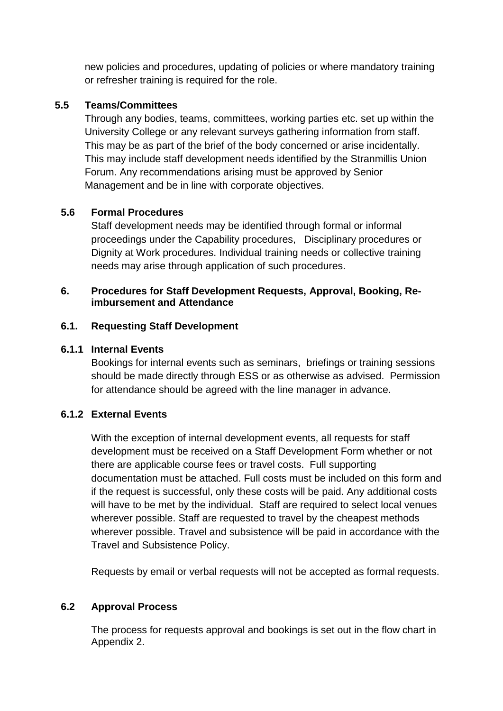new policies and procedures, updating of policies or where mandatory training or refresher training is required for the role.

## **5.5 Teams/Committees**

Through any bodies, teams, committees, working parties etc. set up within the University College or any relevant surveys gathering information from staff. This may be as part of the brief of the body concerned or arise incidentally. This may include staff development needs identified by the Stranmillis Union Forum. Any recommendations arising must be approved by Senior Management and be in line with corporate objectives.

# **5.6 Formal Procedures**

Staff development needs may be identified through formal or informal proceedings under the Capability procedures, Disciplinary procedures or Dignity at Work procedures. Individual training needs or collective training needs may arise through application of such procedures.

#### **6. Procedures for Staff Development Requests, Approval, Booking, Reimbursement and Attendance**

### **6.1. Requesting Staff Development**

## **6.1.1 Internal Events**

Bookings for internal events such as seminars, briefings or training sessions should be made directly through ESS or as otherwise as advised. Permission for attendance should be agreed with the line manager in advance.

# **6.1.2 External Events**

With the exception of internal development events, all requests for staff development must be received on a Staff Development Form whether or not there are applicable course fees or travel costs. Full supporting documentation must be attached. Full costs must be included on this form and if the request is successful, only these costs will be paid. Any additional costs will have to be met by the individual. Staff are required to select local venues wherever possible. Staff are requested to travel by the cheapest methods wherever possible. Travel and subsistence will be paid in accordance with the Travel and Subsistence Policy.

Requests by email or verbal requests will not be accepted as formal requests.

# **6.2 Approval Process**

The process for requests approval and bookings is set out in the flow chart in Appendix 2.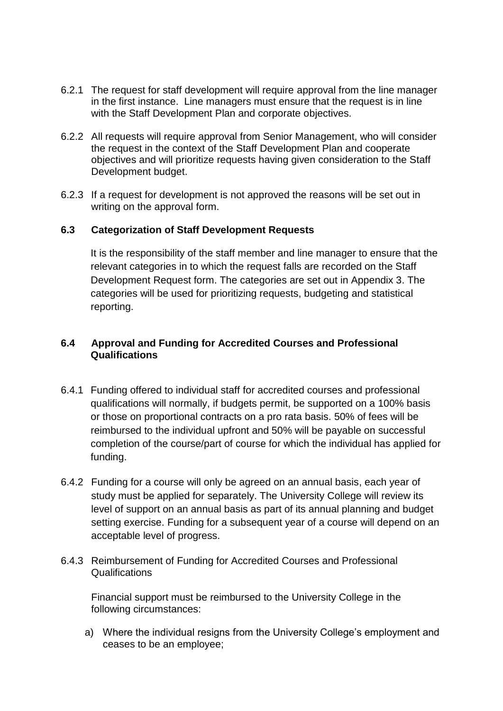- 6.2.1 The request for staff development will require approval from the line manager in the first instance. Line managers must ensure that the request is in line with the Staff Development Plan and corporate objectives.
- 6.2.2 All requests will require approval from Senior Management, who will consider the request in the context of the Staff Development Plan and cooperate objectives and will prioritize requests having given consideration to the Staff Development budget.
- 6.2.3 If a request for development is not approved the reasons will be set out in writing on the approval form.

#### **6.3 Categorization of Staff Development Requests**

It is the responsibility of the staff member and line manager to ensure that the relevant categories in to which the request falls are recorded on the Staff Development Request form. The categories are set out in Appendix 3. The categories will be used for prioritizing requests, budgeting and statistical reporting.

#### **6.4 Approval and Funding for Accredited Courses and Professional Qualifications**

- 6.4.1 Funding offered to individual staff for accredited courses and professional qualifications will normally, if budgets permit, be supported on a 100% basis or those on proportional contracts on a pro rata basis. 50% of fees will be reimbursed to the individual upfront and 50% will be payable on successful completion of the course/part of course for which the individual has applied for funding.
- 6.4.2 Funding for a course will only be agreed on an annual basis, each year of study must be applied for separately. The University College will review its level of support on an annual basis as part of its annual planning and budget setting exercise. Funding for a subsequent year of a course will depend on an acceptable level of progress.
- 6.4.3 Reimbursement of Funding for Accredited Courses and Professional Qualifications

Financial support must be reimbursed to the University College in the following circumstances:

a) Where the individual resigns from the University College's employment and ceases to be an employee;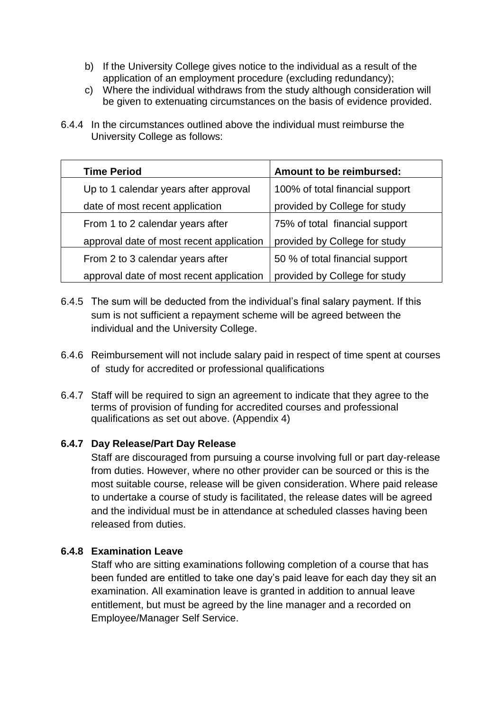- b) If the University College gives notice to the individual as a result of the application of an employment procedure (excluding redundancy);
- c) Where the individual withdraws from the study although consideration will be given to extenuating circumstances on the basis of evidence provided.
- 6.4.4 In the circumstances outlined above the individual must reimburse the University College as follows:

| <b>Time Period</b>                       | Amount to be reimbursed:        |
|------------------------------------------|---------------------------------|
| Up to 1 calendar years after approval    | 100% of total financial support |
| date of most recent application          | provided by College for study   |
| From 1 to 2 calendar years after         | 75% of total financial support  |
| approval date of most recent application | provided by College for study   |
| From 2 to 3 calendar years after         | 50 % of total financial support |
| approval date of most recent application | provided by College for study   |

- 6.4.5 The sum will be deducted from the individual's final salary payment. If this sum is not sufficient a repayment scheme will be agreed between the individual and the University College.
- 6.4.6 Reimbursement will not include salary paid in respect of time spent at courses of study for accredited or professional qualifications
- 6.4.7 Staff will be required to sign an agreement to indicate that they agree to the terms of provision of funding for accredited courses and professional qualifications as set out above. (Appendix 4)

### **6.4.7 Day Release/Part Day Release**

Staff are discouraged from pursuing a course involving full or part day-release from duties. However, where no other provider can be sourced or this is the most suitable course, release will be given consideration. Where paid release to undertake a course of study is facilitated, the release dates will be agreed and the individual must be in attendance at scheduled classes having been released from duties.

#### **6.4.8 Examination Leave**

Staff who are sitting examinations following completion of a course that has been funded are entitled to take one day's paid leave for each day they sit an examination. All examination leave is granted in addition to annual leave entitlement, but must be agreed by the line manager and a recorded on Employee/Manager Self Service.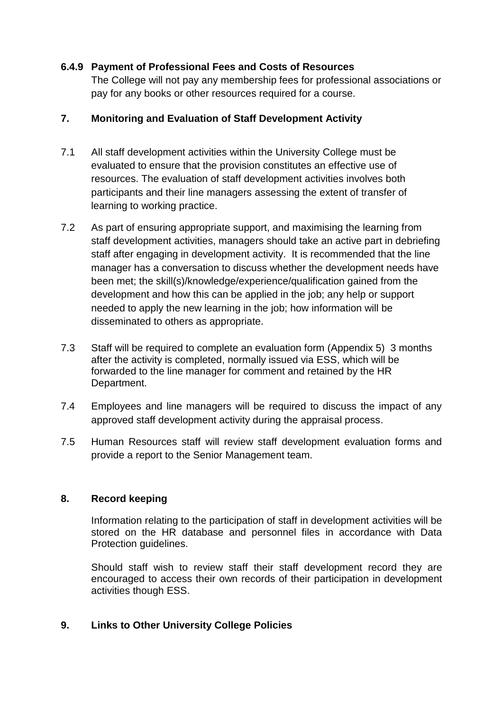#### **6.4.9 Payment of Professional Fees and Costs of Resources**

The College will not pay any membership fees for professional associations or pay for any books or other resources required for a course.

#### **7. Monitoring and Evaluation of Staff Development Activity**

- 7.1 All staff development activities within the University College must be evaluated to ensure that the provision constitutes an effective use of resources. The evaluation of staff development activities involves both participants and their line managers assessing the extent of transfer of learning to working practice.
- 7.2 As part of ensuring appropriate support, and maximising the learning from staff development activities, managers should take an active part in debriefing staff after engaging in development activity. It is recommended that the line manager has a conversation to discuss whether the development needs have been met; the skill(s)/knowledge/experience/qualification gained from the development and how this can be applied in the job; any help or support needed to apply the new learning in the job; how information will be disseminated to others as appropriate.
- 7.3 Staff will be required to complete an evaluation form (Appendix 5) 3 months after the activity is completed, normally issued via ESS, which will be forwarded to the line manager for comment and retained by the HR Department.
- 7.4 Employees and line managers will be required to discuss the impact of any approved staff development activity during the appraisal process.
- 7.5 Human Resources staff will review staff development evaluation forms and provide a report to the Senior Management team.

#### **8. Record keeping**

Information relating to the participation of staff in development activities will be stored on the HR database and personnel files in accordance with Data Protection guidelines.

Should staff wish to review staff their staff development record they are encouraged to access their own records of their participation in development activities though ESS.

### **9. Links to Other University College Policies**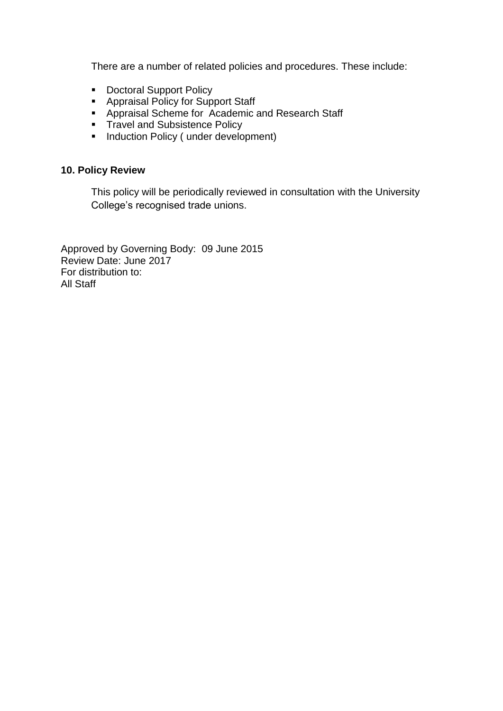There are a number of related policies and procedures. These include:

- **Doctoral Support Policy**
- Appraisal Policy for Support Staff
- **Appraisal Scheme for Academic and Research Staff**
- Travel and Subsistence Policy
- Induction Policy (under development)

### **10. Policy Review**

This policy will be periodically reviewed in consultation with the University College's recognised trade unions.

Approved by Governing Body: 09 June 2015 Review Date: June 2017 For distribution to: All Staff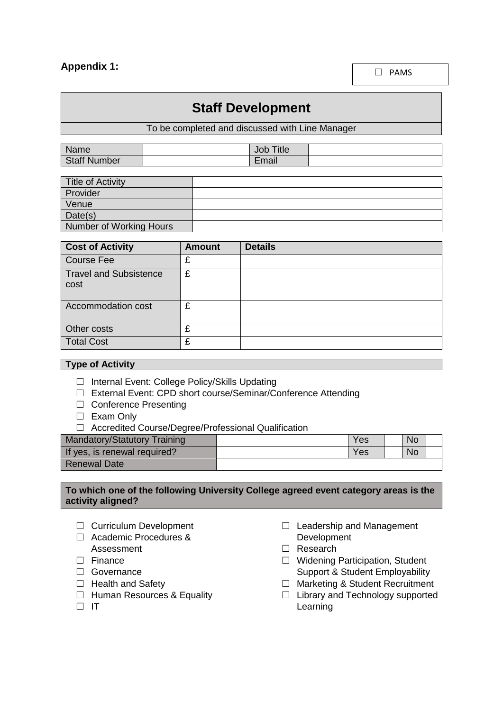## **Appendix 1:**

 $\square$  PAMS

# **Staff Development**

To be completed and discussed with Line Manager

| Name                | Title<br>Job |  |
|---------------------|--------------|--|
| <b>Staff Number</b> | Email        |  |

| <b>Title of Activity</b> |  |
|--------------------------|--|
| Provider                 |  |
| Venue                    |  |
| Date(s)                  |  |
| Number of Working Hours  |  |

| <b>Cost of Activity</b>               | <b>Amount</b> | <b>Details</b> |
|---------------------------------------|---------------|----------------|
| <b>Course Fee</b>                     | £             |                |
| <b>Travel and Subsistence</b><br>cost | £             |                |
| Accommodation cost                    | £             |                |
| Other costs                           | £             |                |
| <b>Total Cost</b>                     | £             |                |

#### **Type of Activity**

- □ Internal Event: College Policy/Skills Updating
- □ External Event: CPD short course/Seminar/Conference Attending
- □ Conference Presenting
- □ Exam Only
- □ Accredited Course/Degree/Professional Qualification

| <b>Mandatory/Statutory Training</b> | <b>Yes</b> | No. |  |
|-------------------------------------|------------|-----|--|
| If yes, is renewal required?        | Yes        | No. |  |
| Renewal Date                        |            |     |  |

#### **To which one of the following University College agreed event category areas is the activity aligned?**

- □ Curriculum Development
- □ Academic Procedures & Assessment
- $\Box$  Finance
- □ Governance
- $\Box$  Health and Safety
- $\Box$  Human Resources & Equality
- $\Box$  IT
- $\Box$  Leadership and Management Development
- □ Research
- □ Widening Participation, Student Support & Student Employability
- □ Marketing & Student Recruitment
- $\Box$  Library and Technology supported Learning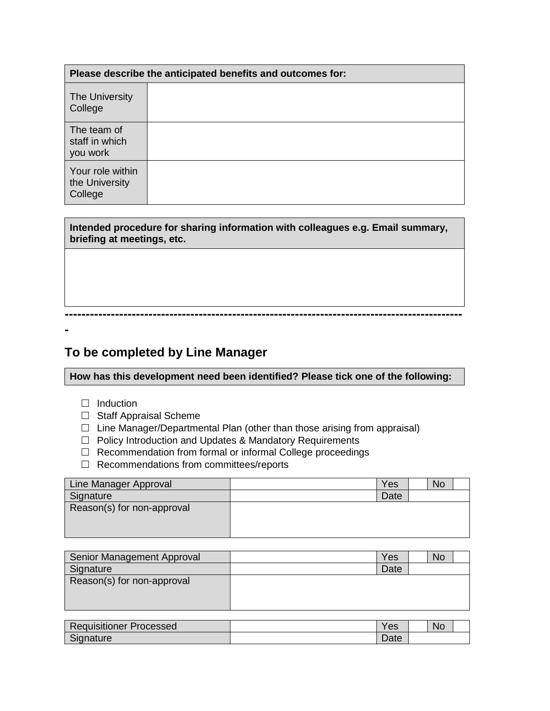| Please describe the anticipated benefits and outcomes for: |  |  |
|------------------------------------------------------------|--|--|
| The University<br>College                                  |  |  |
| The team of<br>staff in which<br>you work                  |  |  |
| Your role within<br>the University<br>College              |  |  |

**Intended procedure for sharing information with colleagues e.g. Email summary, briefing at meetings, etc.**

# **To be completed by Line Manager**

**How has this development need been identified? Please tick one of the following:**

**-----------------------------------------------------------------------------------------------**

 $\Box$  Induction

**-**

- $\Box$  Staff Appraisal Scheme
- $\Box$  Line Manager/Departmental Plan (other than those arising from appraisal)
- □ Policy Introduction and Updates & Mandatory Requirements
- □ Recommendation from formal or informal College proceedings
- $\Box$  Recommendations from committees/reports

| Line Manager Approval      | Yes  | <b>No</b> |  |
|----------------------------|------|-----------|--|
| Signature                  | Date |           |  |
| Reason(s) for non-approval |      |           |  |
|                            |      |           |  |
|                            |      |           |  |

| Senior Management Approval | Yes  | <b>No</b> |  |
|----------------------------|------|-----------|--|
| Signature                  | Date |           |  |
| Reason(s) for non-approval |      |           |  |
|                            |      |           |  |
|                            |      |           |  |

| <b>PART</b><br><b>Requisitioner F</b><br><b>Processed</b> | $\alpha$<br>ರಾ                   | <b>No</b> |  |
|-----------------------------------------------------------|----------------------------------|-----------|--|
| $\sim$<br>ianature                                        | $\overline{\phantom{a}}$<br>Date |           |  |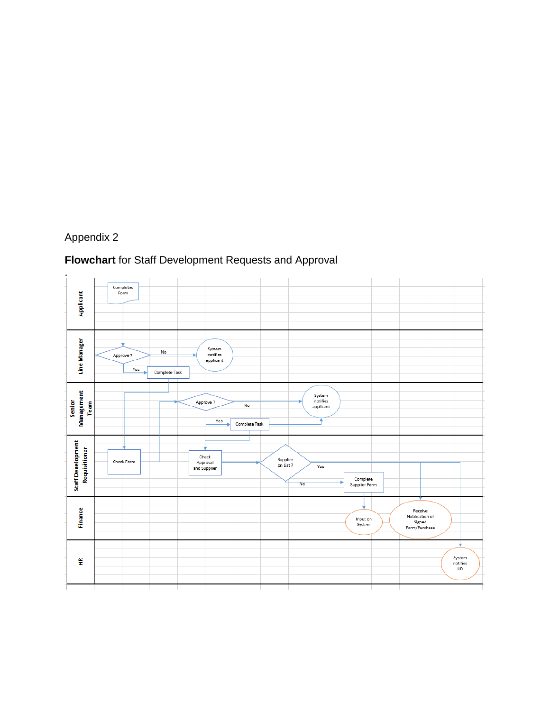# Appendix 2

# **Flowchart** for Staff Development Requests and Approval

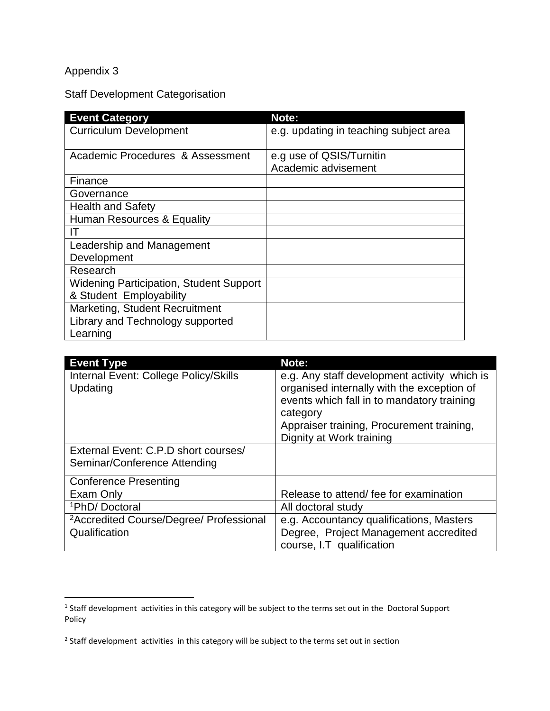# Appendix 3

Staff Development Categorisation

| <b>Event Category</b>                          | Note:                                           |
|------------------------------------------------|-------------------------------------------------|
| <b>Curriculum Development</b>                  | e.g. updating in teaching subject area          |
| Academic Procedures & Assessment               | e.g use of QSIS/Turnitin<br>Academic advisement |
| Finance                                        |                                                 |
| Governance                                     |                                                 |
| <b>Health and Safety</b>                       |                                                 |
| Human Resources & Equality                     |                                                 |
| IТ                                             |                                                 |
| Leadership and Management                      |                                                 |
| Development                                    |                                                 |
| Research                                       |                                                 |
| <b>Widening Participation, Student Support</b> |                                                 |
| & Student Employability                        |                                                 |
| Marketing, Student Recruitment                 |                                                 |
| Library and Technology supported               |                                                 |
| Learning                                       |                                                 |

| <b>Event Type</b>                                   | Note:                                                                                                                                                                                                                         |
|-----------------------------------------------------|-------------------------------------------------------------------------------------------------------------------------------------------------------------------------------------------------------------------------------|
| Internal Event: College Policy/Skills<br>Updating   | e.g. Any staff development activity which is<br>organised internally with the exception of<br>events which fall in to mandatory training<br>category<br>Appraiser training, Procurement training,<br>Dignity at Work training |
| External Event: C.P.D short courses/                |                                                                                                                                                                                                                               |
| Seminar/Conference Attending                        |                                                                                                                                                                                                                               |
| <b>Conference Presenting</b>                        |                                                                                                                                                                                                                               |
| Exam Only                                           | Release to attend/ fee for examination                                                                                                                                                                                        |
| <sup>1</sup> PhD/Doctoral                           | All doctoral study                                                                                                                                                                                                            |
| <sup>2</sup> Accredited Course/Degree/ Professional | e.g. Accountancy qualifications, Masters                                                                                                                                                                                      |
| Qualification                                       | Degree, Project Management accredited                                                                                                                                                                                         |
|                                                     | course, I.T qualification                                                                                                                                                                                                     |

 1 Staff development activities in this category will be subject to the terms set out in the Doctoral Support Policy

<sup>&</sup>lt;sup>2</sup> Staff development activities in this category will be subject to the terms set out in section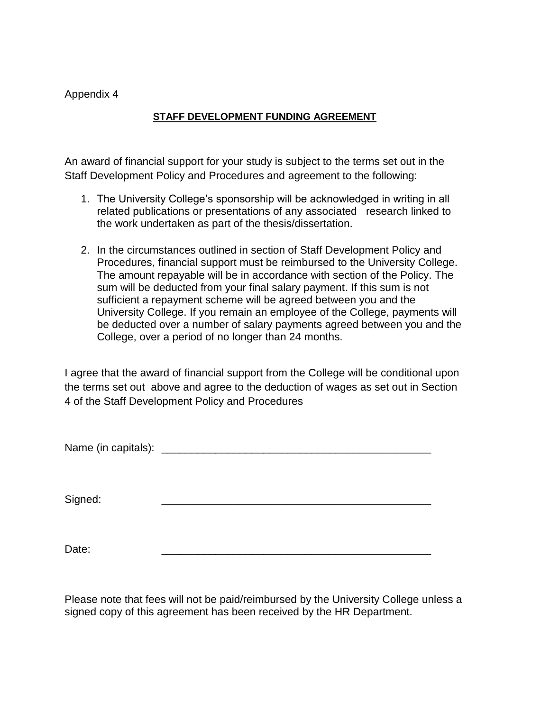#### Appendix 4

#### **STAFF DEVELOPMENT FUNDING AGREEMENT**

An award of financial support for your study is subject to the terms set out in the Staff Development Policy and Procedures and agreement to the following:

- 1. The University College's sponsorship will be acknowledged in writing in all related publications or presentations of any associated research linked to the work undertaken as part of the thesis/dissertation.
- 2. In the circumstances outlined in section of Staff Development Policy and Procedures, financial support must be reimbursed to the University College. The amount repayable will be in accordance with section of the Policy. The sum will be deducted from your final salary payment. If this sum is not sufficient a repayment scheme will be agreed between you and the University College. If you remain an employee of the College, payments will be deducted over a number of salary payments agreed between you and the College, over a period of no longer than 24 months.

I agree that the award of financial support from the College will be conditional upon the terms set out above and agree to the deduction of wages as set out in Section 4 of the Staff Development Policy and Procedures

Name (in capitals): \_\_\_\_\_\_\_\_\_\_\_\_\_\_\_\_\_\_\_\_\_\_\_\_\_\_\_\_\_\_\_\_\_\_\_\_\_\_\_\_\_\_\_\_\_

Signed: \_\_\_\_\_\_\_\_\_\_\_\_\_\_\_\_\_\_\_\_\_\_\_\_\_\_\_\_\_\_\_\_\_\_\_\_\_\_\_\_\_\_\_\_\_

Date: \_\_\_\_\_\_\_\_\_\_\_\_\_\_\_\_\_\_\_\_\_\_\_\_\_\_\_\_\_\_\_\_\_\_\_\_\_\_\_\_\_\_\_\_\_

Please note that fees will not be paid/reimbursed by the University College unless a signed copy of this agreement has been received by the HR Department.